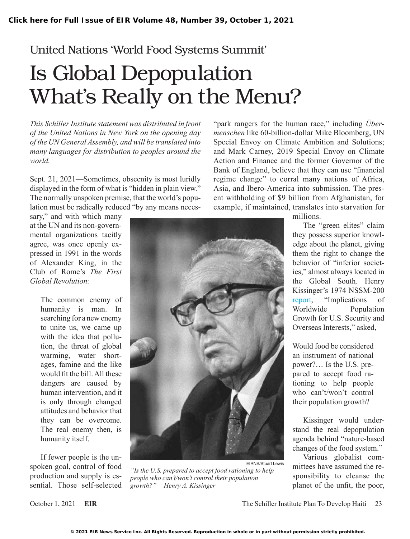## United Nations 'World Food Systems Summit'

## Is Global Depopulation What's Really on the Menu?

*This Schiller Institute statement was distributed in front of the United Nations in New York on the opening day of the UN General Assembly, and will be translated into many languages for distribution to peoples around the world.*

Sept. 21, 2021—Sometimes, obscenity is most luridly displayed in the form of what is "hidden in plain view." The normally unspoken premise, that the world's population must be radically reduced "by any means neces-

sary," and with which many at the UN and its non-governmental organizations tacitly agree, was once openly expressed in 1991 in the words of Alexander King, in the Club of Rome's *The First Global Revolution:*

> The common enemy of humanity is man. In searching for a new enemy to unite us, we came up with the idea that pollution, the threat of global warming, water shortages, famine and the like would fit the bill. All these dangers are caused by human intervention, and it is only through changed attitudes and behavior that they can be overcome. The real enemy then, is humanity itself.

If fewer people is the unspoken goal, control of food production and supply is essential. Those self-selected



EIRNS/Stuart Lewis *"Is the U.S. prepared to accept food rationing to help people who can't/won't control their population growth?" —Henry A. Kissinger*

"park rangers for the human race," including *Übermenschen* like 60-billion-dollar Mike Bloomberg, UN Special Envoy on Climate Ambition and Solutions; and Mark Carney, 2019 Special Envoy on Climate Action and Finance and the former Governor of the Bank of England, believe that they can use "financial regime change" to corral many nations of Africa, Asia, and Ibero-America into submission. The present withholding of \$9 billion from Afghanistan, for example, if maintained, translates into starvation for

millions.

The "green elites" claim they possess superior knowl-

edge about the planet, giving them the right to change the behavior of "inferior societies," almost always located in the Global South. Henry Kissinger's 1974 NSSM-200 [report](https://pdf.usaid.gov/pdf_docs/PCAAB500.pdf), "Implications of Worldwide Population Growth for U.S. Security and Overseas Interests," asked, Would food be considered an instrument of national power?… Is the U.S. prepared to accept food rationing to help people who can't/won't control their population growth?

> Kissinger would understand the real depopulation agenda behind "nature-based changes of the food system."

> Various globalist committees have assumed the responsibility to cleanse the planet of the unfit, the poor,

October 1, 2021 **EIR EIR** The Schiller Institute Plan To Develop Haiti 23